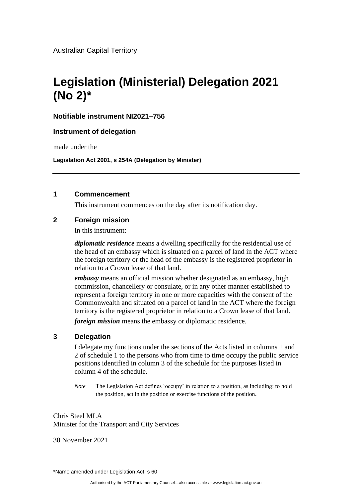Australian Capital Territory

# **Legislation (Ministerial) Delegation 2021 (No 2)\***

# **Notifiable instrument NI2021–756**

### **Instrument of delegation**

made under the

**Legislation Act 2001, s 254A (Delegation by Minister)**

### **1 Commencement**

This instrument commences on the day after its notification day.

# **2 Foreign mission**

In this instrument:

*diplomatic residence* means a dwelling specifically for the residential use of the head of an embassy which is situated on a parcel of land in the ACT where the foreign territory or the head of the embassy is the registered proprietor in relation to a Crown lease of that land.

*embassy* means an official mission whether designated as an embassy, high commission, chancellery or consulate, or in any other manner established to represent a foreign territory in one or more capacities with the consent of the Commonwealth and situated on a parcel of land in the ACT where the foreign territory is the registered proprietor in relation to a Crown lease of that land.

*foreign mission* means the embassy or diplomatic residence.

# **3 Delegation**

I delegate my functions under the sections of the Acts listed in columns 1 and 2 of schedule 1 to the persons who from time to time occupy the public service positions identified in column 3 of the schedule for the purposes listed in column 4 of the schedule.

*Note* The Legislation Act defines 'occupy' in relation to a position, as including: to hold the position, act in the position or exercise functions of the position.

Chris Steel MLA Minister for the Transport and City Services

30 November 2021

\*Name amended under Legislation Act, s 60